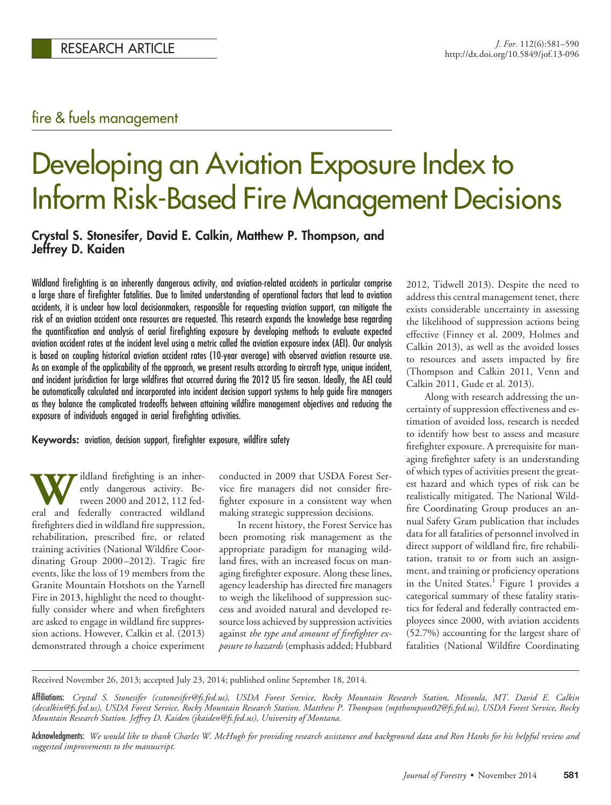# fire & fuels management

# Developing an Aviation Exposure Index to Inform Risk-Based Fire Management Decisions

# **Crystal S. Stonesifer, David E. Calkin, Matthew P. Thompson, and Jeffrey D. Kaiden**

Wildland firefighting is an inherently dangerous activity, and aviation-related accidents in particular comprise a large share of firefighter fatalities. Due to limited understanding of operational factors that lead to aviation accidents, it is unclear how local decisionmakers, responsible for requesting aviation support, can mitigate the risk of an aviation accident once resources are requested. This research expands the knowledge base regarding the quantification and analysis of aerial firefighting exposure by developing methods to evaluate expected aviation accident rates at the incident level using a metric called the aviation exposure index (AEI). Our analysis is based on coupling historical aviation accident rates (10-year average) with observed aviation resource use. As an example of the applicability of the approach, we present results according to aircraft type, unique incident, and incident jurisdiction for large wildfires that occurred during the 2012 US fire season. Ideally, the AEI could be automatically calculated and incorporated into incident decision support systems to help guide fire managers as they balance the complicated tradeoffs between attaining wildfire management objectives and reducing the exposure of individuals engaged in aerial firefighting activities.

**Keywords:** aviation, decision support, firefighter exposure, wildfire safety

W ildland firefighting is an inher-<br>
tween 2000 and 2012, 112 fed-<br>
eral and federally contracted wildland ently dangerous activity. Between 2000 and 2012, 112 fedfirefighters died in wildland fire suppression, rehabilitation, prescribed fire, or related training activities (National Wildfire Coordinating Group 2000 –2012). Tragic fire events, like the loss of 19 members from the Granite Mountain Hotshots on the Yarnell Fire in 2013, highlight the need to thoughtfully consider where and when firefighters are asked to engage in wildland fire suppression actions. However, Calkin et al. (2013) demonstrated through a choice experiment

conducted in 2009 that USDA Forest Service fire managers did not consider firefighter exposure in a consistent way when making strategic suppression decisions.

In recent history, the Forest Service has been promoting risk management as the appropriate paradigm for managing wildland fires, with an increased focus on managing firefighter exposure. Along these lines, agency leadership has directed fire managers to weigh the likelihood of suppression success and avoided natural and developed resource loss achieved by suppression activities against *the type and amount of firefighter exposure to hazards* (emphasis added; Hubbard 2012, Tidwell 2013). Despite the need to address this central management tenet, there exists considerable uncertainty in assessing the likelihood of suppression actions being effective (Finney et al. 2009, Holmes and Calkin 2013), as well as the avoided losses to resources and assets impacted by fire (Thompson and Calkin 2011, Venn and Calkin 2011, Gude et al. 2013).

Along with research addressing the uncertainty of suppression effectiveness and estimation of avoided loss, research is needed to identify how best to assess and measure firefighter exposure. A prerequisite for managing firefighter safety is an understanding of which types of activities present the greatest hazard and which types of risk can be realistically mitigated. The National Wildfire Coordinating Group produces an annual Safety Gram publication that includes data for all fatalities of personnel involved in direct support of wildland fire, fire rehabilitation, transit to or from such an assignment, and training or proficiency operations in the United States.<sup>1</sup> Figure 1 provides a categorical summary of these fatality statistics for federal and federally contracted employees since 2000, with aviation accidents (52.7%) accounting for the largest share of fatalities (National Wildfire Coordinating

Received November 26, 2013; accepted July 23, 2014; published online September 18, 2014.

Affiliations: *Crystal S. Stonesifer (csstonesifer@fs.fed.us), USDA Forest Service, Rocky Mountain Research Station, Missoula, MT. David E. Calkin (decalkin@fs.fed.us), USDA Forest Service, Rocky Mountain Research Station. Matthew P. Thompson (mpthompson02@fs.fed.us), USDA Forest Service, Rocky Mountain Research Station. Jeffrey D. Kaiden (jkaiden@fs.fed.us), University of Montana.*

Acknowledgments: *We would like to thank Charles W. McHugh for providing research assistance and background data and Ron Hanks for his helpful review and suggested improvements to the manuscript.*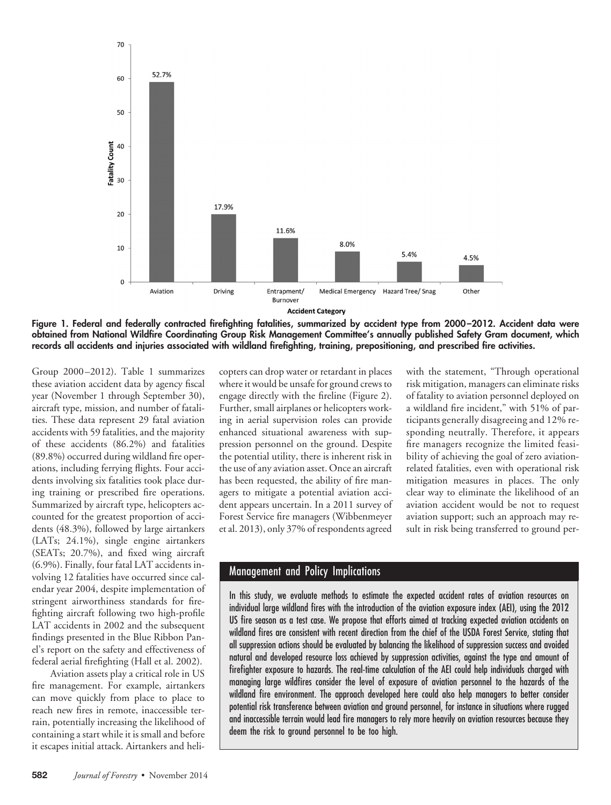

**Figure 1. Federal and federally contracted firefighting fatalities, summarized by accident type from 2000 –2012. Accident data were obtained from National Wildfire Coordinating Group Risk Management Committee's annually published Safety Gram document, which records all accidents and injuries associated with wildland firefighting, training, prepositioning, and prescribed fire activities.**

Group 2000 –2012). Table 1 summarizes these aviation accident data by agency fiscal year (November 1 through September 30), aircraft type, mission, and number of fatalities. These data represent 29 fatal aviation accidents with 59 fatalities, and the majority of these accidents (86.2%) and fatalities (89.8%) occurred during wildland fire operations, including ferrying flights. Four accidents involving six fatalities took place during training or prescribed fire operations. Summarized by aircraft type, helicopters accounted for the greatest proportion of accidents (48.3%), followed by large airtankers (LATs; 24.1%), single engine airtankers (SEATs; 20.7%), and fixed wing aircraft (6.9%). Finally, four fatal LAT accidents involving 12 fatalities have occurred since calendar year 2004, despite implementation of stringent airworthiness standards for firefighting aircraft following two high-profile LAT accidents in 2002 and the subsequent findings presented in the Blue Ribbon Panel's report on the safety and effectiveness of federal aerial firefighting (Hall et al. 2002).

Aviation assets play a critical role in US fire management. For example, airtankers can move quickly from place to place to reach new fires in remote, inaccessible terrain, potentially increasing the likelihood of containing a start while it is small and before it escapes initial attack. Airtankers and helicopters can drop water or retardant in places where it would be unsafe for ground crews to engage directly with the fireline (Figure 2). Further, small airplanes or helicopters working in aerial supervision roles can provide enhanced situational awareness with suppression personnel on the ground. Despite the potential utility, there is inherent risk in the use of any aviation asset. Once an aircraft has been requested, the ability of fire managers to mitigate a potential aviation accident appears uncertain. In a 2011 survey of Forest Service fire managers (Wibbenmeyer et al. 2013), only 37% of respondents agreed

with the statement, "Through operational risk mitigation, managers can eliminate risks of fatality to aviation personnel deployed on a wildland fire incident," with 51% of participants generally disagreeing and 12% responding neutrally. Therefore, it appears fire managers recognize the limited feasibility of achieving the goal of zero aviationrelated fatalities, even with operational risk mitigation measures in places. The only clear way to eliminate the likelihood of an aviation accident would be not to request aviation support; such an approach may result in risk being transferred to ground per-

### Management and Policy Implications

In this study, we evaluate methods to estimate the expected accident rates of aviation resources on individual large wildland fires with the introduction of the aviation exposure index (AEI), using the 2012 US fire season as a test case. We propose that efforts aimed at tracking expected aviation accidents on wildland fires are consistent with recent direction from the chief of the USDA Forest Service, stating that all suppression actions should be evaluated by balancing the likelihood of suppression success and avoided natural and developed resource loss achieved by suppression activities, against the type and amount of firefighter exposure to hazards. The real-time calculation of the AEI could help individuals charged with managing large wildfires consider the level of exposure of aviation personnel to the hazards of the wildland fire environment. The approach developed here could also help managers to better consider potential risk transference between aviation and ground personnel, for instance in situations where rugged and inaccessible terrain would lead fire managers to rely more heavily on aviation resources because they deem the risk to ground personnel to be too high.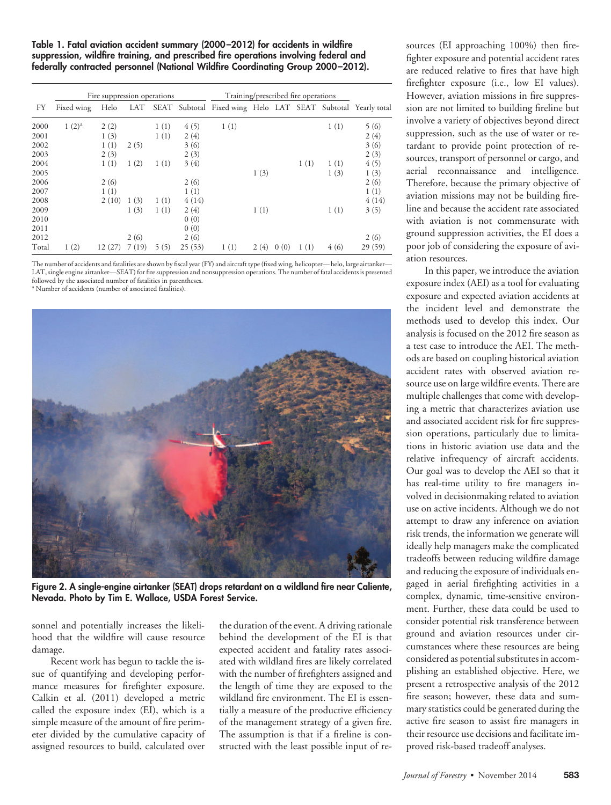**Table 1. Fatal aviation accident summary (2000 –2012) for accidents in wildfire suppression, wildfire training, and prescribed fire operations involving federal and federally contracted personnel (National Wildfire Coordinating Group 2000 –2012).**

|       | Fire suppression operations | Training/prescribed fire operations |       |      |        |                                                              |      |      |      |      |        |
|-------|-----------------------------|-------------------------------------|-------|------|--------|--------------------------------------------------------------|------|------|------|------|--------|
| FY    | Fixed wing                  | Helo                                | LAT   |      |        | SEAT Subtotal Fixed wing Helo LAT SEAT Subtotal Yearly total |      |      |      |      |        |
| 2000  | $1(2)^a$                    | 2(2)                                |       | 1(1) | 4(5)   | 1(1)                                                         |      |      |      | 1(1) | 5 (6)  |
| 2001  |                             | 1(3)                                |       | 1(1) | 2(4)   |                                                              |      |      |      |      | 2(4)   |
| 2002  |                             | 1(1)                                | 2(5)  |      | 3(6)   |                                                              |      |      |      |      | 3(6)   |
| 2003  |                             | 2(3)                                |       |      | 2(3)   |                                                              |      |      |      |      | 2(3)   |
| 2004  |                             | 1(1)                                | 1(2)  | 1(1) | 3(4)   |                                                              |      |      | 1(1) | 1(1) | 4(5)   |
| 2005  |                             |                                     |       |      |        |                                                              | 1(3) |      |      | 1(3) | 1(3)   |
| 2006  |                             | 2(6)                                |       |      | 2(6)   |                                                              |      |      |      |      | 2(6)   |
| 2007  |                             | 1(1)                                |       |      | 1(1)   |                                                              |      |      |      |      | 1(1)   |
| 2008  |                             | 2(10)                               | 1(3)  | 1(1) | 4(14)  |                                                              |      |      |      |      | 4(14)  |
| 2009  |                             |                                     | 1(3)  | 1(1) | 2(4)   |                                                              | 1(1) |      |      | 1(1) | 3(5)   |
| 2010  |                             |                                     |       |      | 0(0)   |                                                              |      |      |      |      |        |
| 2011  |                             |                                     |       |      | 0(0)   |                                                              |      |      |      |      |        |
| 2012  |                             |                                     | 2(6)  |      | 2(6)   |                                                              |      |      |      |      | 2(6)   |
| Total | 1(2)                        | 12(27)                              | 7(19) | 5(5) | 25(53) | 1(1)                                                         | 2(4) | 0(0) | 1(1) | 4(6) | 29(59) |

The number of accidents and fatalities are shown by fiscal year (FY) and aircraft type (fixed wing, helicopter— helo, large airtanker— LAT, single engine airtanker—SEAT) for fire suppression and nonsuppression operations. The number of fatal accidents is presented followed by the associated number of fatalities in parentheses.

<sup>a</sup> Number of accidents (number of associated fatalities).



**Figure 2. A single-engine airtanker (SEAT) drops retardant on a wildland fire near Caliente, Nevada. Photo by Tim E. Wallace, USDA Forest Service.**

sonnel and potentially increases the likelihood that the wildfire will cause resource damage.

Recent work has begun to tackle the issue of quantifying and developing performance measures for firefighter exposure. Calkin et al. (2011) developed a metric called the exposure index (EI), which is a simple measure of the amount of fire perimeter divided by the cumulative capacity of assigned resources to build, calculated over

the duration of the event. A driving rationale behind the development of the EI is that expected accident and fatality rates associated with wildland fires are likely correlated with the number of firefighters assigned and the length of time they are exposed to the wildland fire environment. The EI is essentially a measure of the productive efficiency of the management strategy of a given fire. The assumption is that if a fireline is constructed with the least possible input of re-

sources (EI approaching 100%) then firefighter exposure and potential accident rates are reduced relative to fires that have high firefighter exposure (i.e., low EI values). However, aviation missions in fire suppression are not limited to building fireline but involve a variety of objectives beyond direct suppression, such as the use of water or retardant to provide point protection of resources, transport of personnel or cargo, and aerial reconnaissance and intelligence. Therefore, because the primary objective of aviation missions may not be building fireline and because the accident rate associated with aviation is not commensurate with ground suppression activities, the EI does a poor job of considering the exposure of aviation resources.

In this paper, we introduce the aviation exposure index (AEI) as a tool for evaluating exposure and expected aviation accidents at the incident level and demonstrate the methods used to develop this index. Our analysis is focused on the 2012 fire season as a test case to introduce the AEI. The methods are based on coupling historical aviation accident rates with observed aviation resource use on large wildfire events. There are multiple challenges that come with developing a metric that characterizes aviation use and associated accident risk for fire suppression operations, particularly due to limitations in historic aviation use data and the relative infrequency of aircraft accidents. Our goal was to develop the AEI so that it has real-time utility to fire managers involved in decisionmaking related to aviation use on active incidents. Although we do not attempt to draw any inference on aviation risk trends, the information we generate will ideally help managers make the complicated tradeoffs between reducing wildfire damage and reducing the exposure of individuals engaged in aerial firefighting activities in a complex, dynamic, time-sensitive environment. Further, these data could be used to consider potential risk transference between ground and aviation resources under circumstances where these resources are being considered as potential substitutes in accomplishing an established objective. Here, we present a retrospective analysis of the 2012 fire season; however, these data and summary statistics could be generated during the active fire season to assist fire managers in their resource use decisions and facilitate improved risk-based tradeoff analyses.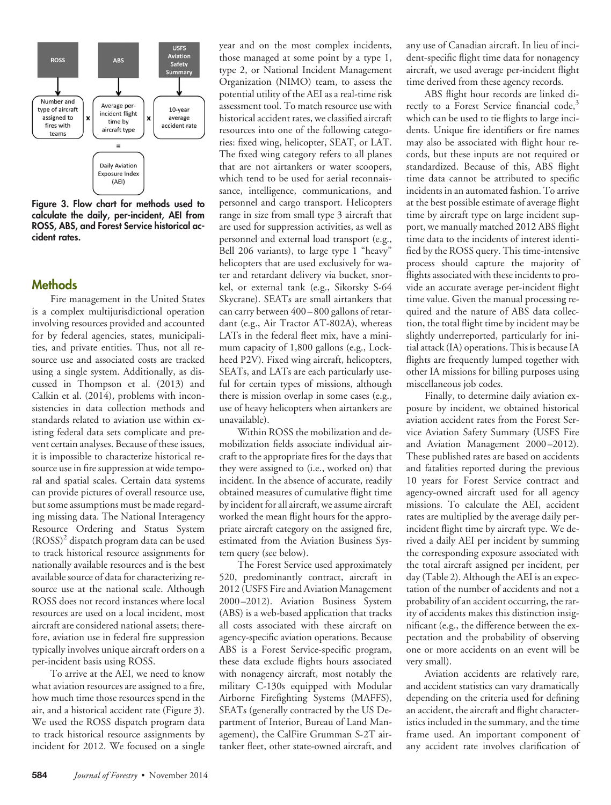

**Figure 3. Flow chart for methods used to calculate the daily, per-incident, AEI from ROSS, ABS, and Forest Service historical accident rates.**

## **Methods**

Fire management in the United States is a complex multijurisdictional operation involving resources provided and accounted for by federal agencies, states, municipalities, and private entities. Thus, not all resource use and associated costs are tracked using a single system. Additionally, as discussed in Thompson et al. (2013) and Calkin et al. (2014), problems with inconsistencies in data collection methods and standards related to aviation use within existing federal data sets complicate and prevent certain analyses. Because of these issues, it is impossible to characterize historical resource use in fire suppression at wide temporal and spatial scales. Certain data systems can provide pictures of overall resource use, but some assumptions must be made regarding missing data. The National Interagency Resource Ordering and Status System  $(ROSS)^2$  dispatch program data can be used to track historical resource assignments for nationally available resources and is the best available source of data for characterizing resource use at the national scale. Although ROSS does not record instances where local resources are used on a local incident, most aircraft are considered national assets; therefore, aviation use in federal fire suppression typically involves unique aircraft orders on a per-incident basis using ROSS.

To arrive at the AEI, we need to know what aviation resources are assigned to a fire, how much time those resources spend in the air, and a historical accident rate (Figure 3). We used the ROSS dispatch program data to track historical resource assignments by incident for 2012. We focused on a single year and on the most complex incidents, those managed at some point by a type 1, type 2, or National Incident Management Organization (NIMO) team, to assess the potential utility of the AEI as a real-time risk assessment tool. To match resource use with historical accident rates, we classified aircraft resources into one of the following categories: fixed wing, helicopter, SEAT, or LAT. The fixed wing category refers to all planes that are not airtankers or water scoopers, which tend to be used for aerial reconnaissance, intelligence, communications, and personnel and cargo transport. Helicopters range in size from small type 3 aircraft that are used for suppression activities, as well as personnel and external load transport (e.g., Bell 206 variants), to large type 1 "heavy" helicopters that are used exclusively for water and retardant delivery via bucket, snorkel, or external tank (e.g., Sikorsky S-64 Skycrane). SEATs are small airtankers that can carry between 400 – 800 gallons of retardant (e.g., Air Tractor AT-802A), whereas LATs in the federal fleet mix, have a minimum capacity of 1,800 gallons (e.g., Lockheed P2V). Fixed wing aircraft, helicopters, SEATs, and LATs are each particularly useful for certain types of missions, although there is mission overlap in some cases (e.g., use of heavy helicopters when airtankers are unavailable).

Within ROSS the mobilization and demobilization fields associate individual aircraft to the appropriate fires for the days that they were assigned to (i.e., worked on) that incident. In the absence of accurate, readily obtained measures of cumulative flight time by incident for all aircraft, we assume aircraft worked the mean flight hours for the appropriate aircraft category on the assigned fire, estimated from the Aviation Business System query (see below).

The Forest Service used approximately 520, predominantly contract, aircraft in 2012 (USFS Fire and Aviation Management 2000 –2012). Aviation Business System (ABS) is a web-based application that tracks all costs associated with these aircraft on agency-specific aviation operations. Because ABS is a Forest Service-specific program, these data exclude flights hours associated with nonagency aircraft, most notably the military C-130s equipped with Modular Airborne Firefighting Systems (MAFFS), SEATs (generally contracted by the US Department of Interior, Bureau of Land Management), the CalFire Grumman S-2T airtanker fleet, other state-owned aircraft, and

any use of Canadian aircraft. In lieu of incident-specific flight time data for nonagency aircraft, we used average per-incident flight time derived from these agency records.

ABS flight hour records are linked directly to a Forest Service financial code,<sup>3</sup> which can be used to tie flights to large incidents. Unique fire identifiers or fire names may also be associated with flight hour records, but these inputs are not required or standardized. Because of this, ABS flight time data cannot be attributed to specific incidents in an automated fashion. To arrive at the best possible estimate of average flight time by aircraft type on large incident support, we manually matched 2012 ABS flight time data to the incidents of interest identified by the ROSS query. This time-intensive process should capture the majority of flights associated with these incidents to provide an accurate average per-incident flight time value. Given the manual processing required and the nature of ABS data collection, the total flight time by incident may be slightly underreported, particularly for initial attack (IA) operations. This is because IA flights are frequently lumped together with other IA missions for billing purposes using miscellaneous job codes.

Finally, to determine daily aviation exposure by incident, we obtained historical aviation accident rates from the Forest Service Aviation Safety Summary (USFS Fire and Aviation Management 2000 –2012). These published rates are based on accidents and fatalities reported during the previous 10 years for Forest Service contract and agency-owned aircraft used for all agency missions. To calculate the AEI, accident rates are multiplied by the average daily perincident flight time by aircraft type. We derived a daily AEI per incident by summing the corresponding exposure associated with the total aircraft assigned per incident, per day (Table 2). Although the AEI is an expectation of the number of accidents and not a probability of an accident occurring, the rarity of accidents makes this distinction insignificant (e.g., the difference between the expectation and the probability of observing one or more accidents on an event will be very small).

Aviation accidents are relatively rare, and accident statistics can vary dramatically depending on the criteria used for defining an accident, the aircraft and flight characteristics included in the summary, and the time frame used. An important component of any accident rate involves clarification of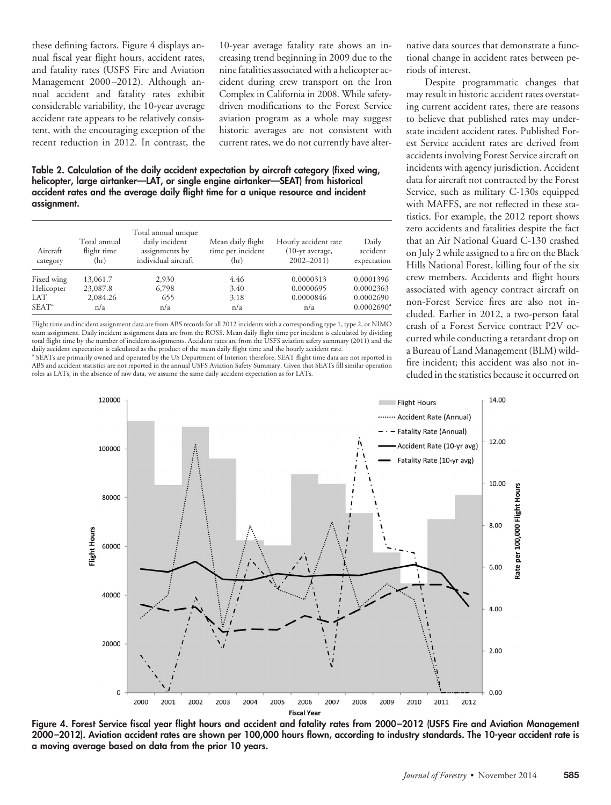these defining factors. Figure 4 displays annual fiscal year flight hours, accident rates, and fatality rates (USFS Fire and Aviation Management 2000 –2012). Although annual accident and fatality rates exhibit considerable variability, the 10-year average accident rate appears to be relatively consistent, with the encouraging exception of the recent reduction in 2012. In contrast, the

10-year average fatality rate shows an increasing trend beginning in 2009 due to the nine fatalities associated with a helicopter accident during crew transport on the Iron Complex in California in 2008. While safetydriven modifications to the Forest Service aviation program as a whole may suggest historic averages are not consistent with current rates, we do not currently have alter-

**Table 2. Calculation of the daily accident expectation by aircraft category (fixed wing, helicopter, large airtanker—LAT, or single engine airtanker—SEAT) from historical accident rates and the average daily flight time for a unique resource and incident assignment.**

| Aircraft<br>category | Total annual<br>flight time<br>(hr) | Total annual unique<br>daily incident<br>assignments by<br>individual aircraft | Mean daily flight<br>time per incident<br>(hr) | Hourly accident rate<br>$(10-yr)$ average,<br>$2002 - 2011$ | Daily<br>accident<br>expectation |
|----------------------|-------------------------------------|--------------------------------------------------------------------------------|------------------------------------------------|-------------------------------------------------------------|----------------------------------|
| Fixed wing           | 13,061.7                            | 2,930                                                                          | 4.46                                           | 0.0000313                                                   | 0.0001396                        |
| Helicopter           | 23,087.8                            | 6,798                                                                          | 3.40                                           | 0.0000695                                                   | 0.0002363                        |
| LAT.                 | 2,084.26                            | 655                                                                            | 3.18                                           | 0.0000846                                                   | 0.0002690                        |
| SEAT <sup>a</sup>    | n/a                                 | n/a                                                                            | n/a                                            | n/a                                                         | $0.0002690$ <sup>a</sup>         |

Flight time and incident assignment data are from ABS records for all 2012 incidents with a corresponding type 1, type 2, or NIMO team assignment. Daily incident assignment data are from the ROSS. Mean daily flight time per incident is calculated by dividing total flight time by the number of incident assignments. Accident rates are from the USFS aviation safety summary (2011) and the daily accident expectation is calculated as the product of the mean daily flight time and the hourly accident rate.

<sup>a</sup> SEATs are primarily owned and operated by the US Department of Interior; therefore, SEAT flight time data are not reported in ABS and accident statistics are not reported in the annual USFS Aviation Safety Summary. Given that SEATs fill similar operation roles as LATs, in the absence of raw data, we assume the same daily accident expectation as for LATs.

native data sources that demonstrate a functional change in accident rates between periods of interest.

Despite programmatic changes that may result in historic accident rates overstating current accident rates, there are reasons to believe that published rates may understate incident accident rates. Published Forest Service accident rates are derived from accidents involving Forest Service aircraft on incidents with agency jurisdiction. Accident data for aircraft not contracted by the Forest Service, such as military C-130s equipped with MAFFS, are not reflected in these statistics. For example, the 2012 report shows zero accidents and fatalities despite the fact that an Air National Guard C-130 crashed on July 2 while assigned to a fire on the Black Hills National Forest, killing four of the six crew members. Accidents and flight hours associated with agency contract aircraft on non-Forest Service fires are also not included. Earlier in 2012, a two-person fatal crash of a Forest Service contract P2V occurred while conducting a retardant drop on a Bureau of Land Management (BLM) wildfire incident; this accident was also not included in the statistics because it occurred on



**Figure 4. Forest Service fiscal year flight hours and accident and fatality rates from 2000 –2012 (USFS Fire and Aviation Management 2000 –2012). Aviation accident rates are shown per 100,000 hours flown, according to industry standards. The 10-year accident rate is a moving average based on data from the prior 10 years.**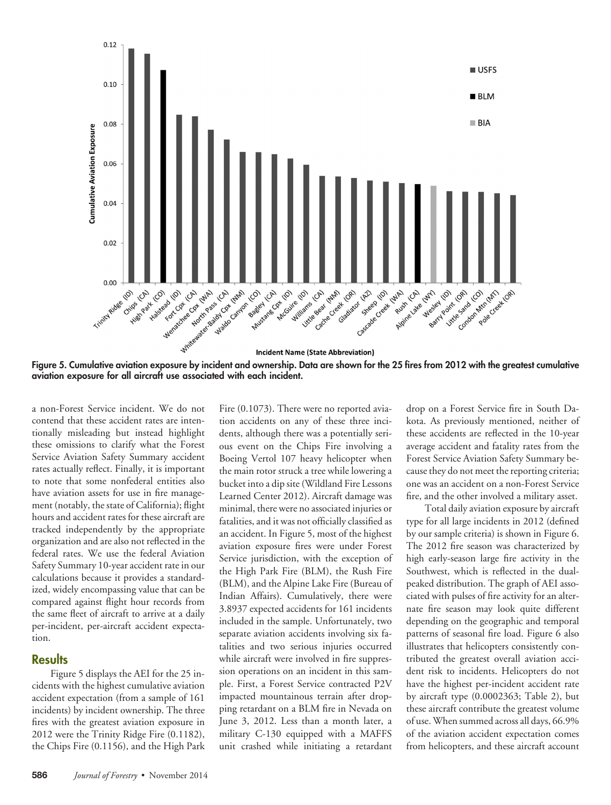

**Figure 5. Cumulative aviation exposure by incident and ownership. Data are shown for the 25 fires from 2012 with the greatest cumulative aviation exposure for all aircraft use associated with each incident.**

a non-Forest Service incident. We do not contend that these accident rates are intentionally misleading but instead highlight these omissions to clarify what the Forest Service Aviation Safety Summary accident rates actually reflect. Finally, it is important to note that some nonfederal entities also have aviation assets for use in fire management (notably, the state of California); flight hours and accident rates for these aircraft are tracked independently by the appropriate organization and are also not reflected in the federal rates. We use the federal Aviation Safety Summary 10-year accident rate in our calculations because it provides a standardized, widely encompassing value that can be compared against flight hour records from the same fleet of aircraft to arrive at a daily per-incident, per-aircraft accident expectation.

### **Results**

Figure 5 displays the AEI for the 25 incidents with the highest cumulative aviation accident expectation (from a sample of 161 incidents) by incident ownership. The three fires with the greatest aviation exposure in 2012 were the Trinity Ridge Fire (0.1182), the Chips Fire (0.1156), and the High Park Fire (0.1073). There were no reported aviation accidents on any of these three incidents, although there was a potentially serious event on the Chips Fire involving a Boeing Vertol 107 heavy helicopter when the main rotor struck a tree while lowering a bucket into a dip site (Wildland Fire Lessons Learned Center 2012). Aircraft damage was minimal, there were no associated injuries or fatalities, and it was not officially classified as an accident. In Figure 5, most of the highest aviation exposure fires were under Forest Service jurisdiction, with the exception of the High Park Fire (BLM), the Rush Fire (BLM), and the Alpine Lake Fire (Bureau of Indian Affairs). Cumulatively, there were 3.8937 expected accidents for 161 incidents included in the sample. Unfortunately, two separate aviation accidents involving six fatalities and two serious injuries occurred while aircraft were involved in fire suppression operations on an incident in this sample. First, a Forest Service contracted P2V impacted mountainous terrain after dropping retardant on a BLM fire in Nevada on June 3, 2012. Less than a month later, a military C-130 equipped with a MAFFS unit crashed while initiating a retardant

drop on a Forest Service fire in South Dakota. As previously mentioned, neither of these accidents are reflected in the 10-year average accident and fatality rates from the Forest Service Aviation Safety Summary because they do not meet the reporting criteria; one was an accident on a non-Forest Service fire, and the other involved a military asset.

Total daily aviation exposure by aircraft type for all large incidents in 2012 (defined by our sample criteria) is shown in Figure 6. The 2012 fire season was characterized by high early-season large fire activity in the Southwest, which is reflected in the dualpeaked distribution. The graph of AEI associated with pulses of fire activity for an alternate fire season may look quite different depending on the geographic and temporal patterns of seasonal fire load. Figure 6 also illustrates that helicopters consistently contributed the greatest overall aviation accident risk to incidents. Helicopters do not have the highest per-incident accident rate by aircraft type (0.0002363; Table 2), but these aircraft contribute the greatest volume of use. When summed across all days, 66.9% of the aviation accident expectation comes from helicopters, and these aircraft account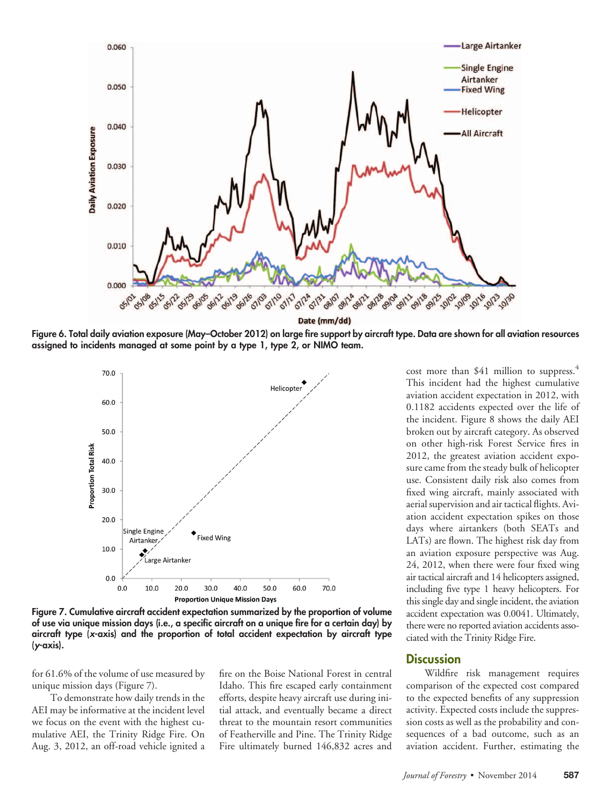

**Figure 6. Total daily aviation exposure (May–October 2012) on large fire support by aircraft type. Data are shown for all aviation resources assigned to incidents managed at some point by a type 1, type 2, or NIMO team.**



**Figure 7. Cumulative aircraft accident expectation summarized by the proportion of volume of use via unique mission days (i.e., a specific aircraft on a unique fire for a certain day) by aircraft type** (*x***-axis) and the proportion of total accident expectation by aircraft type** (*y***-axis).**

for 61.6% of the volume of use measured by unique mission days (Figure 7).

To demonstrate how daily trends in the AEI may be informative at the incident level we focus on the event with the highest cumulative AEI, the Trinity Ridge Fire. On Aug. 3, 2012, an off-road vehicle ignited a

fire on the Boise National Forest in central Idaho. This fire escaped early containment efforts, despite heavy aircraft use during initial attack, and eventually became a direct threat to the mountain resort communities of Featherville and Pine. The Trinity Ridge Fire ultimately burned 146,832 acres and

cost more than \$41 million to suppress.<sup>4</sup> This incident had the highest cumulative aviation accident expectation in 2012, with 0.1182 accidents expected over the life of the incident. Figure 8 shows the daily AEI broken out by aircraft category. As observed on other high-risk Forest Service fires in 2012, the greatest aviation accident exposure came from the steady bulk of helicopter use. Consistent daily risk also comes from fixed wing aircraft, mainly associated with aerial supervision and air tactical flights. Aviation accident expectation spikes on those days where airtankers (both SEATs and LATs) are flown. The highest risk day from an aviation exposure perspective was Aug. 24, 2012, when there were four fixed wing air tactical aircraft and 14 helicopters assigned, including five type 1 heavy helicopters. For this single day and single incident, the aviation accident expectation was 0.0041. Ultimately, there were no reported aviation accidents associated with the Trinity Ridge Fire.

#### **Discussion**

Wildfire risk management requires comparison of the expected cost compared to the expected benefits of any suppression activity. Expected costs include the suppression costs as well as the probability and consequences of a bad outcome, such as an aviation accident. Further, estimating the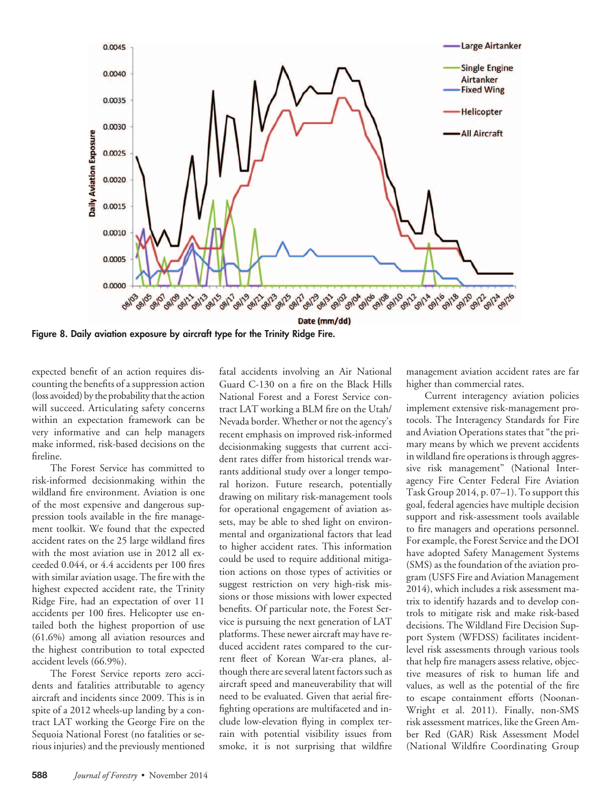

**Figure 8. Daily aviation exposure by aircraft type for the Trinity Ridge Fire.**

expected benefit of an action requires discounting the benefits of a suppression action (loss avoided) by the probability that the action will succeed. Articulating safety concerns within an expectation framework can be very informative and can help managers make informed, risk-based decisions on the fireline.

The Forest Service has committed to risk-informed decisionmaking within the wildland fire environment. Aviation is one of the most expensive and dangerous suppression tools available in the fire management toolkit. We found that the expected accident rates on the 25 large wildland fires with the most aviation use in 2012 all exceeded 0.044, or 4.4 accidents per 100 fires with similar aviation usage. The fire with the highest expected accident rate, the Trinity Ridge Fire, had an expectation of over 11 accidents per 100 fires. Helicopter use entailed both the highest proportion of use (61.6%) among all aviation resources and the highest contribution to total expected accident levels (66.9%).

The Forest Service reports zero accidents and fatalities attributable to agency aircraft and incidents since 2009. This is in spite of a 2012 wheels-up landing by a contract LAT working the George Fire on the Sequoia National Forest (no fatalities or serious injuries) and the previously mentioned

fatal accidents involving an Air National Guard C-130 on a fire on the Black Hills National Forest and a Forest Service contract LAT working a BLM fire on the Utah/ Nevada border. Whether or not the agency's recent emphasis on improved risk-informed decisionmaking suggests that current accident rates differ from historical trends warrants additional study over a longer temporal horizon. Future research, potentially drawing on military risk-management tools for operational engagement of aviation assets, may be able to shed light on environmental and organizational factors that lead to higher accident rates. This information could be used to require additional mitigation actions on those types of activities or suggest restriction on very high-risk missions or those missions with lower expected benefits. Of particular note, the Forest Service is pursuing the next generation of LAT platforms. These newer aircraft may have reduced accident rates compared to the current fleet of Korean War-era planes, although there are several latent factors such as aircraft speed and maneuverability that will need to be evaluated. Given that aerial firefighting operations are multifaceted and include low-elevation flying in complex terrain with potential visibility issues from smoke, it is not surprising that wildfire

management aviation accident rates are far higher than commercial rates.

Current interagency aviation policies implement extensive risk-management protocols. The Interagency Standards for Fire and Aviation Operations states that "the primary means by which we prevent accidents in wildland fire operations is through aggressive risk management" (National Interagency Fire Center Federal Fire Aviation Task Group 2014, p. 07–1). To support this goal, federal agencies have multiple decision support and risk-assessment tools available to fire managers and operations personnel. For example, the Forest Service and the DOI have adopted Safety Management Systems (SMS) as the foundation of the aviation program (USFS Fire and Aviation Management 2014), which includes a risk assessment matrix to identify hazards and to develop controls to mitigate risk and make risk-based decisions. The Wildland Fire Decision Support System (WFDSS) facilitates incidentlevel risk assessments through various tools that help fire managers assess relative, objective measures of risk to human life and values, as well as the potential of the fire to escape containment efforts (Noonan-Wright et al. 2011). Finally, non-SMS risk assessment matrices, like the Green Amber Red (GAR) Risk Assessment Model (National Wildfire Coordinating Group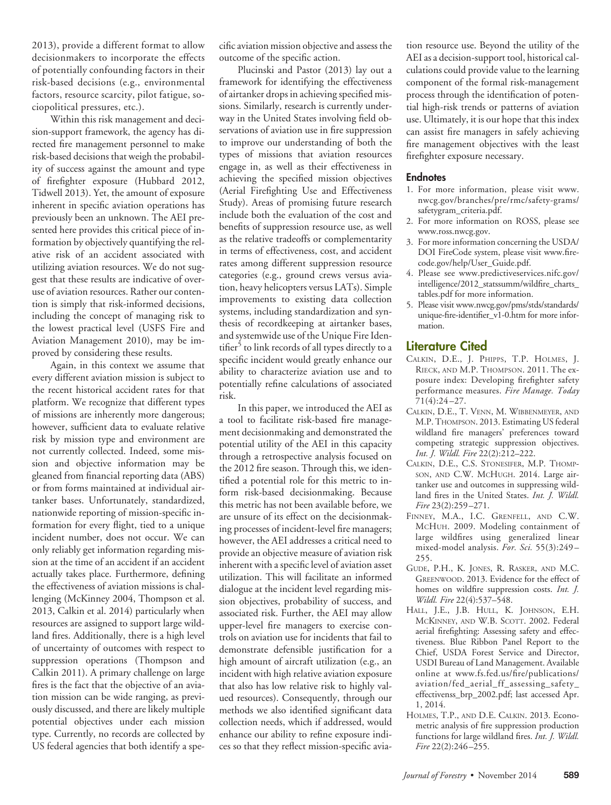2013), provide a different format to allow decisionmakers to incorporate the effects of potentially confounding factors in their risk-based decisions (e.g., environmental factors, resource scarcity, pilot fatigue, sociopolitical pressures, etc.).

Within this risk management and decision-support framework, the agency has directed fire management personnel to make risk-based decisions that weigh the probability of success against the amount and type of firefighter exposure (Hubbard 2012, Tidwell 2013). Yet, the amount of exposure inherent in specific aviation operations has previously been an unknown. The AEI presented here provides this critical piece of information by objectively quantifying the relative risk of an accident associated with utilizing aviation resources. We do not suggest that these results are indicative of overuse of aviation resources. Rather our contention is simply that risk-informed decisions, including the concept of managing risk to the lowest practical level (USFS Fire and Aviation Management 2010), may be improved by considering these results.

Again, in this context we assume that every different aviation mission is subject to the recent historical accident rates for that platform. We recognize that different types of missions are inherently more dangerous; however, sufficient data to evaluate relative risk by mission type and environment are not currently collected. Indeed, some mission and objective information may be gleaned from financial reporting data (ABS) or from forms maintained at individual airtanker bases. Unfortunately, standardized, nationwide reporting of mission-specific information for every flight, tied to a unique incident number, does not occur. We can only reliably get information regarding mission at the time of an accident if an accident actually takes place. Furthermore, defining the effectiveness of aviation missions is challenging (McKinney 2004, Thompson et al. 2013, Calkin et al. 2014) particularly when resources are assigned to support large wildland fires. Additionally, there is a high level of uncertainty of outcomes with respect to suppression operations (Thompson and Calkin 2011). A primary challenge on large fires is the fact that the objective of an aviation mission can be wide ranging, as previously discussed, and there are likely multiple potential objectives under each mission type. Currently, no records are collected by US federal agencies that both identify a specific aviation mission objective and assess the outcome of the specific action.

Plucinski and Pastor (2013) lay out a framework for identifying the effectiveness of airtanker drops in achieving specified missions. Similarly, research is currently underway in the United States involving field observations of aviation use in fire suppression to improve our understanding of both the types of missions that aviation resources engage in, as well as their effectiveness in achieving the specified mission objectives (Aerial Firefighting Use and Effectiveness Study). Areas of promising future research include both the evaluation of the cost and benefits of suppression resource use, as well as the relative tradeoffs or complementarity in terms of effectiveness, cost, and accident rates among different suppression resource categories (e.g., ground crews versus aviation, heavy helicopters versus LATs). Simple improvements to existing data collection systems, including standardization and synthesis of recordkeeping at airtanker bases, and systemwide use of the Unique Fire Identifier<sup>5</sup> to link records of all types directly to a specific incident would greatly enhance our ability to characterize aviation use and to potentially refine calculations of associated risk.

In this paper, we introduced the AEI as a tool to facilitate risk-based fire management decisionmaking and demonstrated the potential utility of the AEI in this capacity through a retrospective analysis focused on the 2012 fire season. Through this, we identified a potential role for this metric to inform risk-based decisionmaking. Because this metric has not been available before, we are unsure of its effect on the decisionmaking processes of incident-level fire managers; however, the AEI addresses a critical need to provide an objective measure of aviation risk inherent with a specific level of aviation asset utilization. This will facilitate an informed dialogue at the incident level regarding mission objectives, probability of success, and associated risk. Further, the AEI may allow upper-level fire managers to exercise controls on aviation use for incidents that fail to demonstrate defensible justification for a high amount of aircraft utilization (e.g., an incident with high relative aviation exposure that also has low relative risk to highly valued resources). Consequently, through our methods we also identified significant data collection needs, which if addressed, would enhance our ability to refine exposure indices so that they reflect mission-specific avia-

tion resource use. Beyond the utility of the AEI as a decision-support tool, historical calculations could provide value to the learning component of the formal risk-management process through the identification of potential high-risk trends or patterns of aviation use. Ultimately, it is our hope that this index can assist fire managers in safely achieving fire management objectives with the least firefighter exposure necessary.

#### **Endnotes**

- 1. For more information, please visit [www.](http://www.nwcg.gov/branches/pre/rmc/safety-grams/safetygram_criteria.pdf) [nwcg.gov/branches/pre/rmc/safety-grams/](http://www.nwcg.gov/branches/pre/rmc/safety-grams/safetygram_criteria.pdf) [safetygram\\_criteria.pdf.](http://www.nwcg.gov/branches/pre/rmc/safety-grams/safetygram_criteria.pdf)
- 2. For more information on ROSS, please see [www.ross.nwcg.gov.](http://www.ross.nwcg.gov)
- 3. For more information concerning the USDA/ DOI FireCode system, please visit [www.fire](http://www.firecode.gov/help/User_Guide.pdf)[code.gov/help/User\\_Guide.pdf.](http://www.firecode.gov/help/User_Guide.pdf)
- 4. Please see [www.predictiveservices.nifc.gov/](http://www.predictiveservices.nifc.gov/intelligence/2012_statssumm/wildfire_charts_tables.pdf) [intelligence/2012\\_statssumm/wildfire\\_charts\\_](http://www.predictiveservices.nifc.gov/intelligence/2012_statssumm/wildfire_charts_tables.pdf) [tables.pdf](http://www.predictiveservices.nifc.gov/intelligence/2012_statssumm/wildfire_charts_tables.pdf) for more information.
- 5. Please visit [www.nwcg.gov/pms/stds/standards/](http://www.nwcg.gov/pms/stds/standards/unique-fire-identifier_v1-0.htm) [unique-fire-identifier\\_v1-0.htm](http://www.nwcg.gov/pms/stds/standards/unique-fire-identifier_v1-0.htm) for more information.

# **Literature Cited**

- CALKIN, D.E., J. PHIPPS, T.P. HOLMES, J. RIECK, AND M.P. THOMPSON. 2011. The exposure index: Developing firefighter safety performance measures. *Fire Manage. Today* 71(4):24 –27.
- CALKIN, D.E., T. VENN, M. WIBBENMEYER, AND M.P. THOMPSON. 2013. Estimating US federal wildland fire managers' preferences toward competing strategic suppression objectives. *Int. J. Wildl. Fire* 22(2):212–222.
- CALKIN, D.E., C.S. STONESIFER, M.P. THOMP-SON, AND C.W. MCHUGH. 2014. Large airtanker use and outcomes in suppressing wildland fires in the United States. *Int. J. Wildl. Fire* 23(2):259 –271.
- FINNEY, M.A., I.C. GRENFELL, AND C.W. MCHUH. 2009. Modeling containment of large wildfires using generalized linear mixed-model analysis. *For. Sci.* 55(3):249 – 255.
- GUDE, P.H., K. JONES, R. RASKER, AND M.C. GREENWOOD. 2013. Evidence for the effect of homes on wildfire suppression costs. *Int. J. Wildl. Fire* 22(4):537–548.
- HALL, J.E., J.B. HULL, K. JOHNSON, E.H. MCKINNEY, AND W.B. SCOTT. 2002. Federal aerial firefighting: Assessing safety and effectiveness. Blue Ribbon Panel Report to the Chief, USDA Forest Service and Director, USDI Bureau of Land Management. Available online at [www.fs.fed.us/fire/publications/](http://www.fs.fed.us/fire/publications/aviation/fed_aerial_ff_assessing_safety_effectivenss_brp_2002.pdf) [aviation/fed\\_aerial\\_ff\\_assessing\\_safety\\_](http://www.fs.fed.us/fire/publications/aviation/fed_aerial_ff_assessing_safety_effectivenss_brp_2002.pdf) [effectivenss\\_brp\\_2002.pdf;](http://www.fs.fed.us/fire/publications/aviation/fed_aerial_ff_assessing_safety_effectivenss_brp_2002.pdf) last accessed Apr. 1, 2014.
- HOLMES, T.P., AND D.E. CALKIN. 2013. Econometric analysis of fire suppression production functions for large wildland fires. *Int. J. Wildl. Fire* 22(2):246 –255.